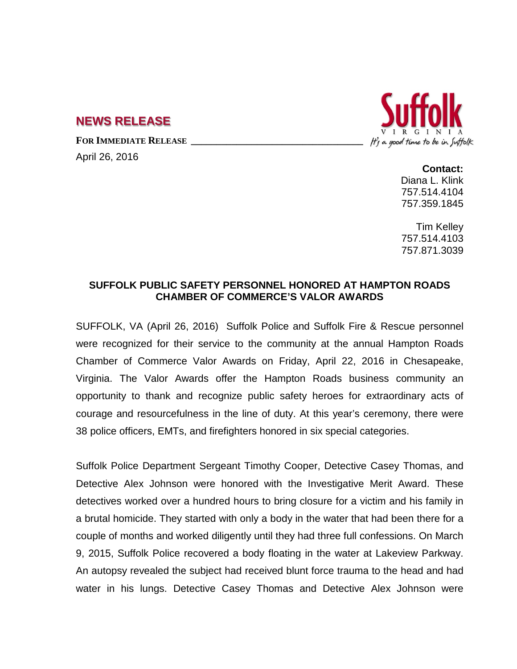## **NEWS RELEASE**

FOR **IMMEDIATE RELEASE** 

April 26, 2016



**Contact:** Diana L. Klink 757.514.4104 757.359.1845

Tim Kelley 757.514.4103 757.871.3039

## **SUFFOLK PUBLIC SAFETY PERSONNEL HONORED AT HAMPTON ROADS CHAMBER OF COMMERCE'S VALOR AWARDS**

SUFFOLK, VA (April 26, 2016) Suffolk Police and Suffolk Fire & Rescue personnel were recognized for their service to the community at the annual Hampton Roads Chamber of Commerce Valor Awards on Friday, April 22, 2016 in Chesapeake, Virginia. The Valor Awards offer the Hampton Roads business community an opportunity to thank and recognize public safety heroes for extraordinary acts of courage and resourcefulness in the line of duty. At this year's ceremony, there were 38 police officers, EMTs, and firefighters honored in six special categories.

Suffolk Police Department Sergeant Timothy Cooper, Detective Casey Thomas, and Detective Alex Johnson were honored with the Investigative Merit Award. These detectives worked over a hundred hours to bring closure for a victim and his family in a brutal homicide. They started with only a body in the water that had been there for a couple of months and worked diligently until they had three full confessions. On March 9, 2015, Suffolk Police recovered a body floating in the water at Lakeview Parkway. An autopsy revealed the subject had received blunt force trauma to the head and had water in his lungs. Detective Casey Thomas and Detective Alex Johnson were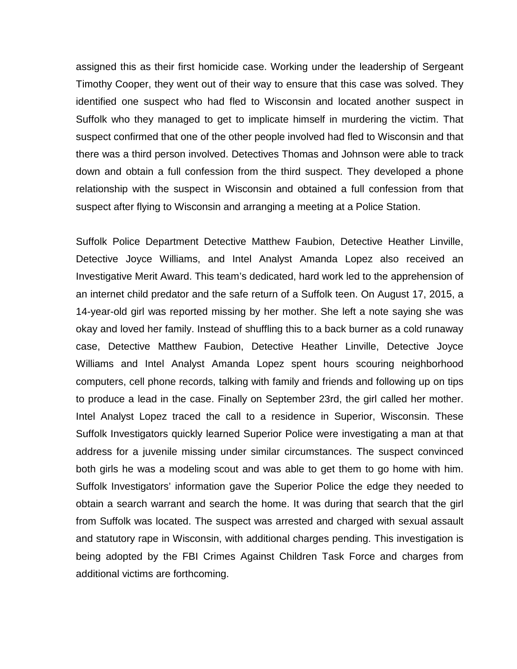assigned this as their first homicide case. Working under the leadership of Sergeant Timothy Cooper, they went out of their way to ensure that this case was solved. They identified one suspect who had fled to Wisconsin and located another suspect in Suffolk who they managed to get to implicate himself in murdering the victim. That suspect confirmed that one of the other people involved had fled to Wisconsin and that there was a third person involved. Detectives Thomas and Johnson were able to track down and obtain a full confession from the third suspect. They developed a phone relationship with the suspect in Wisconsin and obtained a full confession from that suspect after flying to Wisconsin and arranging a meeting at a Police Station.

Suffolk Police Department Detective Matthew Faubion, Detective Heather Linville, Detective Joyce Williams, and Intel Analyst Amanda Lopez also received an Investigative Merit Award. This team's dedicated, hard work led to the apprehension of an internet child predator and the safe return of a Suffolk teen. On August 17, 2015, a 14-year-old girl was reported missing by her mother. She left a note saying she was okay and loved her family. Instead of shuffling this to a back burner as a cold runaway case, Detective Matthew Faubion, Detective Heather Linville, Detective Joyce Williams and Intel Analyst Amanda Lopez spent hours scouring neighborhood computers, cell phone records, talking with family and friends and following up on tips to produce a lead in the case. Finally on September 23rd, the girl called her mother. Intel Analyst Lopez traced the call to a residence in Superior, Wisconsin. These Suffolk Investigators quickly learned Superior Police were investigating a man at that address for a juvenile missing under similar circumstances. The suspect convinced both girls he was a modeling scout and was able to get them to go home with him. Suffolk Investigators' information gave the Superior Police the edge they needed to obtain a search warrant and search the home. It was during that search that the girl from Suffolk was located. The suspect was arrested and charged with sexual assault and statutory rape in Wisconsin, with additional charges pending. This investigation is being adopted by the FBI Crimes Against Children Task Force and charges from additional victims are forthcoming.